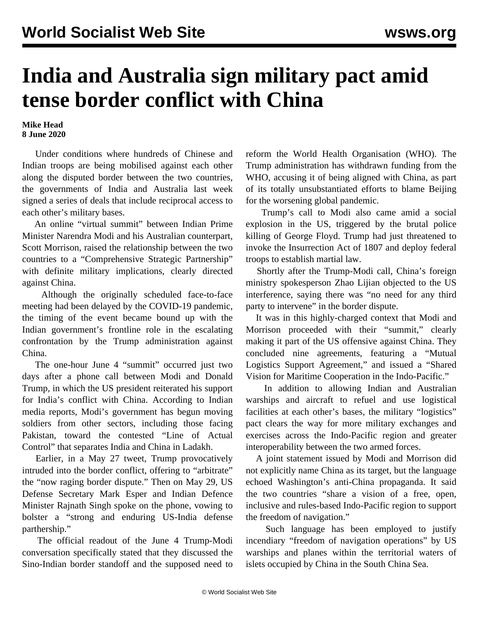## **India and Australia sign military pact amid tense border conflict with China**

**Mike Head 8 June 2020**

 Under conditions where hundreds of Chinese and Indian troops are being mobilised against each other along the disputed border between the two countries, the governments of India and Australia last week signed a series of deals that include reciprocal access to each other's military bases.

 An online "virtual summit" between Indian Prime Minister Narendra Modi and his Australian counterpart, Scott Morrison, raised the relationship between the two countries to a "Comprehensive Strategic Partnership" with definite military implications, clearly directed against China.

 Although the originally scheduled face-to-face meeting had been delayed by the COVID-19 pandemic, the timing of the event became bound up with the Indian government's frontline role in the escalating confrontation by the Trump administration against China.

 The one-hour June 4 "summit" occurred just two days after a phone call between Modi and Donald Trump, in which the US president reiterated his support for India's conflict with China. According to Indian media reports, Modi's government has begun moving soldiers from other sectors, including those facing Pakistan, toward the contested "Line of Actual Control" that separates India and China in Ladakh.

 Earlier, in a May 27 tweet, Trump provocatively intruded into the border conflict, offering to "arbitrate" the "now raging border dispute." Then on May 29, US Defense Secretary Mark Esper and Indian Defence Minister Rajnath Singh spoke on the phone, vowing to bolster a "strong and enduring US-India defense parthership."

 The official readout of the June 4 Trump-Modi conversation specifically stated that they discussed the Sino-Indian border standoff and the supposed need to reform the World Health Organisation (WHO). The Trump administration has withdrawn funding from the WHO, accusing it of being aligned with China, as part of its totally unsubstantiated efforts to blame Beijing for the worsening global pandemic.

 Trump's call to Modi also came amid a social explosion in the US, triggered by the brutal police killing of George Floyd. Trump had just threatened to invoke the Insurrection Act of 1807 and deploy federal troops to establish martial law.

 Shortly after the Trump-Modi call, China's foreign ministry spokesperson Zhao Lijian objected to the US interference, saying there was "no need for any third party to intervene" in the border dispute.

 It was in this highly-charged context that Modi and Morrison proceeded with their "summit," clearly making it part of the US offensive against China. They concluded nine agreements, featuring a "Mutual Logistics Support Agreement," and issued a "Shared Vision for Maritime Cooperation in the Indo-Pacific."

 In addition to allowing Indian and Australian warships and aircraft to refuel and use logistical facilities at each other's bases, the military "logistics" pact clears the way for more military exchanges and exercises across the Indo-Pacific region and greater interoperability between the two armed forces.

 A joint statement issued by Modi and Morrison did not explicitly name China as its target, but the language echoed Washington's anti-China propaganda. It said the two countries "share a vision of a free, open, inclusive and rules-based Indo-Pacific region to support the freedom of navigation."

 Such language has been employed to justify incendiary "freedom of navigation operations" by US warships and planes within the territorial waters of islets occupied by China in the South China Sea.